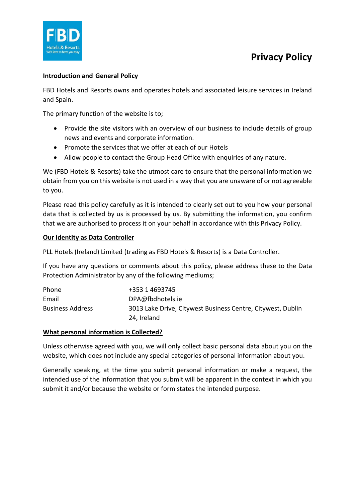

## **Introduction and General Policy**

FBD Hotels and Resorts owns and operates hotels and associated leisure services in Ireland and Spain.

The primary function of the website is to;

- Provide the site visitors with an overview of our business to include details of group news and events and corporate information.
- Promote the services that we offer at each of our Hotels
- Allow people to contact the Group Head Office with enquiries of any nature.

We (FBD Hotels & Resorts) take the utmost care to ensure that the personal information we obtain from you on this website is not used in a way that you are unaware of or not agreeable to you.

Please read this policy carefully as it is intended to clearly set out to you how your personal data that is collected by us is processed by us. By submitting the information, you confirm that we are authorised to process it on your behalf in accordance with this Privacy Policy.

### **Our identity as Data Controller**

PLL Hotels (Ireland) Limited (trading as FBD Hotels & Resorts) is a Data Controller.

If you have any questions or comments about this policy, please address these to the Data Protection Administrator by any of the following mediums;

| Phone                   | +353 1 4693745                                              |
|-------------------------|-------------------------------------------------------------|
| Email                   | DPA@fbdhotels.ie                                            |
| <b>Business Address</b> | 3013 Lake Drive, Citywest Business Centre, Citywest, Dublin |
|                         | 24, Ireland                                                 |

## **What personal information is Collected?**

Unless otherwise agreed with you, we will only collect basic personal data about you on the website, which does not include any special categories of personal information about you.

Generally speaking, at the time you submit personal information or make a request, the intended use of the information that you submit will be apparent in the context in which you submit it and/or because the website or form states the intended purpose.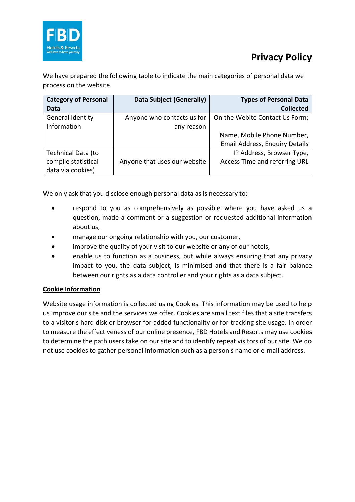

We have prepared the following table to indicate the main categories of personal data we process on the website.

| <b>Category of Personal</b> | <b>Data Subject (Generally)</b> | <b>Types of Personal Data</b>         |
|-----------------------------|---------------------------------|---------------------------------------|
| Data                        |                                 | <b>Collected</b>                      |
| General Identity            | Anyone who contacts us for      | On the Webite Contact Us Form;        |
| Information                 | any reason                      |                                       |
|                             |                                 | Name, Mobile Phone Number,            |
|                             |                                 | <b>Email Address, Enquiry Details</b> |
| Technical Data (to          |                                 | IP Address, Browser Type,             |
| compile statistical         | Anyone that uses our website    | Access Time and referring URL         |
| data via cookies)           |                                 |                                       |

We only ask that you disclose enough personal data as is necessary to;

- respond to you as comprehensively as possible where you have asked us a question, made a comment or a suggestion or requested additional information about us,
- manage our ongoing relationship with you, our customer,
- improve the quality of your visit to our website or any of our hotels,
- enable us to function as a business, but while always ensuring that any privacy impact to you, the data subject, is minimised and that there is a fair balance between our rights as a data controller and your rights as a data subject.

## **Cookie Information**

Website usage information is collected using Cookies. This information may be used to help us improve our site and the services we offer. Cookies are small text files that a site transfers to a visitor's hard disk or browser for added functionality or for tracking site usage. In order to measure the effectiveness of our online presence, FBD Hotels and Resorts may use cookies to determine the path users take on our site and to identify repeat visitors of our site. We do not use cookies to gather personal information such as a person's name or e-mail address.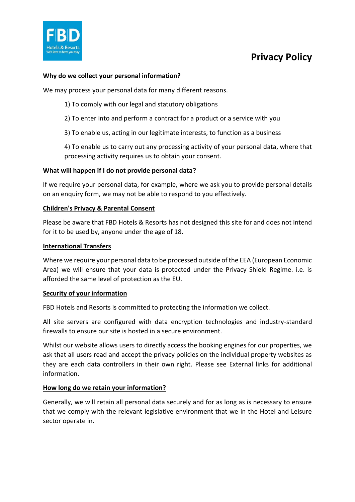

## **Why do we collect your personal information?**

We may process your personal data for many different reasons.

1) To comply with our legal and statutory obligations

2) To enter into and perform a contract for a product or a service with you

3) To enable us, acting in our legitimate interests, to function as a business

4) To enable us to carry out any processing activity of your personal data, where that processing activity requires us to obtain your consent.

#### **What will happen if I do not provide personal data?**

If we require your personal data, for example, where we ask you to provide personal details on an enquiry form, we may not be able to respond to you effectively.

#### **Children's Privacy & Parental Consent**

Please be aware that FBD Hotels & Resorts has not designed this site for and does not intend for it to be used by, anyone under the age of 18.

#### **International Transfers**

Where we require your personal data to be processed outside of the EEA (European Economic Area) we will ensure that your data is protected under the Privacy Shield Regime. i.e. is afforded the same level of protection as the EU.

#### **Security of your information**

FBD Hotels and Resorts is committed to protecting the information we collect.

All site servers are configured with data encryption technologies and industry-standard firewalls to ensure our site is hosted in a secure environment.

Whilst our website allows users to directly access the booking engines for our properties, we ask that all users read and accept the privacy policies on the individual property websites as they are each data controllers in their own right. Please see External links for additional information.

#### **How long do we retain your information?**

Generally, we will retain all personal data securely and for as long as is necessary to ensure that we comply with the relevant legislative environment that we in the Hotel and Leisure sector operate in.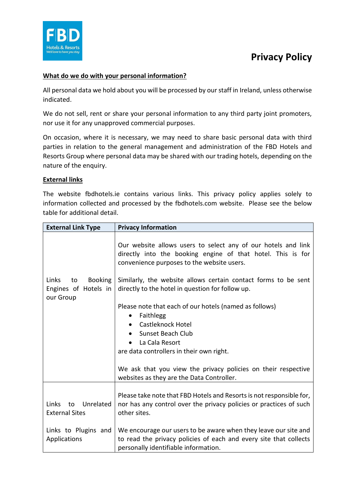

## **What do we do with your personal information?**

All personal data we hold about you will be processed by our staff in Ireland, unless otherwise indicated.

We do not sell, rent or share your personal information to any third party joint promoters, nor use it for any unapproved commercial purposes.

On occasion, where it is necessary, we may need to share basic personal data with third parties in relation to the general management and administration of the FBD Hotels and Resorts Group where personal data may be shared with our trading hotels, depending on the nature of the enquiry.

### **External links**

The website fbdhotels.ie contains various links. This privacy policy applies solely to information collected and processed by the fbdhotels.com website. Please see the below table for additional detail.

| <b>External Link Type</b>                                          | <b>Privacy Information</b>                                                                                                                                                   |
|--------------------------------------------------------------------|------------------------------------------------------------------------------------------------------------------------------------------------------------------------------|
|                                                                    | Our website allows users to select any of our hotels and link<br>directly into the booking engine of that hotel. This is for<br>convenience purposes to the website users.   |
| Links<br><b>Booking</b><br>to<br>Engines of Hotels in<br>our Group | Similarly, the website allows certain contact forms to be sent<br>directly to the hotel in question for follow up.                                                           |
|                                                                    | Please note that each of our hotels (named as follows)<br>Faithlegg<br>$\bullet$<br>Castleknock Hotel                                                                        |
|                                                                    | Sunset Beach Club                                                                                                                                                            |
|                                                                    | La Cala Resort                                                                                                                                                               |
|                                                                    | are data controllers in their own right.                                                                                                                                     |
|                                                                    | We ask that you view the privacy policies on their respective<br>websites as they are the Data Controller.                                                                   |
| Links<br>Unrelated<br>to<br><b>External Sites</b>                  | Please take note that FBD Hotels and Resorts is not responsible for,<br>nor has any control over the privacy policies or practices of such<br>other sites.                   |
| Links to Plugins and<br>Applications                               | We encourage our users to be aware when they leave our site and<br>to read the privacy policies of each and every site that collects<br>personally identifiable information. |